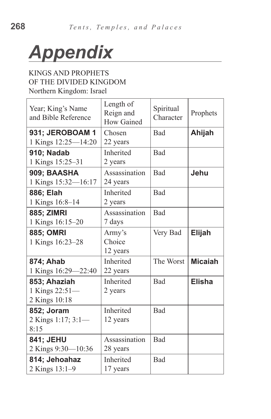

## KINGS AND PROPHETS OF THE DIVIDED KINGDOM Northern Kingdom: Israel

| Year; King's Name<br>and Bible Reference        | Length of<br>Reign and<br><b>How Gained</b> | Spiritual<br>Character | Prophets       |
|-------------------------------------------------|---------------------------------------------|------------------------|----------------|
| 931; JEROBOAM 1<br>1 Kings 12:25-14:20          | Chosen<br>22 years                          | Bad                    | Ahijah         |
| <b>910; Nadab</b><br>1 Kings 15:25-31           | Inherited<br>2 years                        | Bad                    |                |
| 909: BAASHA<br>1 Kings 15:32-16:17              | Assassination<br>24 years                   | Bad                    | Jehu           |
| 886; Elah<br>1 Kings 16:8-14                    | Inherited<br>2 years                        | Bad                    |                |
| <b>885; ZIMRI</b><br>1 Kings 16:15-20           | Assassination<br>7 days                     | Bad                    |                |
| <b>885; OMRI</b><br>1 Kings 16:23-28            | Army's<br>Choice<br>12 years                | Very Bad               | <b>Elijah</b>  |
| 874; Ahab<br>1 Kings 16:29-22:40                | Inherited<br>22 years                       | The Worst              | <b>Micaiah</b> |
| 853; Ahaziah<br>1 Kings 22:51-<br>2 Kings 10:18 | Inherited<br>2 years                        | Bad                    | <b>Elisha</b>  |
| 852; Joram<br>2 Kings 1:17; 3:1-<br>8:15        | Inherited<br>12 years                       | Bad                    |                |
| 841; JEHU<br>2 Kings 9:30-10:36                 | Assassination<br>28 years                   | Bad                    |                |
| 814; Jehoahaz<br>2 Kings 13:1-9                 | Inherited<br>17 years                       | Bad                    |                |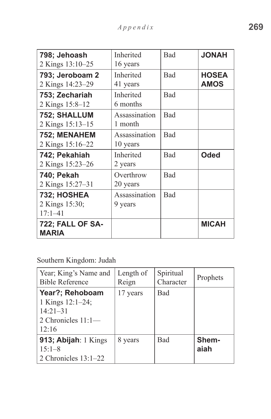| 798; Jehoash                            | Inherited     | <b>Bad</b> | <b>HANOL</b> |
|-----------------------------------------|---------------|------------|--------------|
| 2 Kings 13:10–25                        | 16 years      |            |              |
| 793; Jeroboam 2                         | Inherited     | <b>Bad</b> | <b>HOSEA</b> |
| 2 Kings 14:23-29                        | 41 years      |            | <b>AMOS</b>  |
| 753; Zechariah                          | Inherited     | Bad        |              |
| 2 Kings 15:8–12                         | 6 months      |            |              |
| 752; SHALLUM                            | Assassination | Bad        |              |
| 2 Kings 15:13-15                        | 1 month       |            |              |
| 752; MENAHEM                            | Assassination | Bad        |              |
| 2 Kings 15:16-22                        | 10 years      |            |              |
| 742; Pekahiah                           | Inherited     | Bad        | <b>Oded</b>  |
| 2 Kings 15:23-26                        | 2 years       |            |              |
| 740; Pekah                              | Overthrow     | Bad        |              |
| 2 Kings 15:27–31                        | 20 years      |            |              |
| 732; HOSHEA                             | Assassination | Bad        |              |
| 2 Kings 15:30;                          | 9 years       |            |              |
| $17:1 - 41$                             |               |            |              |
| <b>722; FALL OF SA-</b><br><b>MARIA</b> |               |            | <b>MICAH</b> |

Southern Kingdom: Judah

| Year; King's Name and<br><b>Bible Reference</b>                                       | Length of<br>Reign | Spiritual<br>Character | Prophets      |
|---------------------------------------------------------------------------------------|--------------------|------------------------|---------------|
| Year?; Rehoboam<br>1 Kings $12:1-24$ ;<br>$14:21 - 31$<br>2 Chronicles 11:1-<br>12:16 | 17 years           | <b>Bad</b>             |               |
| 913; Abijah: 1 Kings<br>$15:1 - 8$<br>2 Chronicles $13:1-22$                          | 8 years            | Bad                    | Shem-<br>aiah |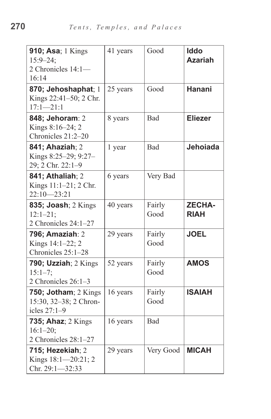| 910; Asa; 1 Kings<br>$15:9 - 24$ ;<br>2 Chronicles 14:1-<br>16:14   | 41 years | Good           | <b>Iddo</b><br><b>Azariah</b> |
|---------------------------------------------------------------------|----------|----------------|-------------------------------|
| 870; Jehoshaphat; 1<br>Kings 22:41-50; 2 Chr.<br>$17:1 - 21:1$      | 25 years | Good           | <b>Hanani</b>                 |
| 848; Jehoram: 2<br>Kings 8:16-24; 2<br>Chronicles 21:2-20           | 8 years  | Bad            | <b>Eliezer</b>                |
| 841; Ahaziah; 2<br>Kings 8:25-29; 9:27-<br>29; 2 Chr. 22:1-9        | 1 year   | Bad            | Jehoiada                      |
| 841; Athaliah; 2<br>Kings 11:1-21; 2 Chr.<br>$22:10 - 23:21$        | 6 years  | Very Bad       |                               |
| <b>835; Joash</b> ; 2 Kings<br>$12:1 - 21;$<br>2 Chronicles 24:1-27 | 40 years | Fairly<br>Good | <b>ZECHA-</b><br><b>RIAH</b>  |
| 796; Amaziah: 2<br>Kings 14:1-22; 2<br>Chronicles 25:1-28           | 29 years | Fairly<br>Good | <b>JOEL</b>                   |
| 790; Uzziah; 2 Kings<br>$15:1 - 7;$<br>2 Chronicles 26:1-3          | 52 years | Fairly<br>Good | <b>AMOS</b>                   |
| 750; Jotham; 2 Kings<br>15:30, 32-38; 2 Chron-<br>icles 27:1-9      | 16 years | Fairly<br>Good | <b>ISAIAH</b>                 |
| <b>735; Ahaz</b> ; 2 Kings<br>$16:1 - 20$ ;<br>2 Chronicles 28:1-27 | 16 years | Bad            |                               |
| 715; Hezekiah; $2$<br>Kings 18:1-20:21; 2<br>Chr. 29:1-32:33        | 29 years | Very Good      | <b>MICAH</b>                  |